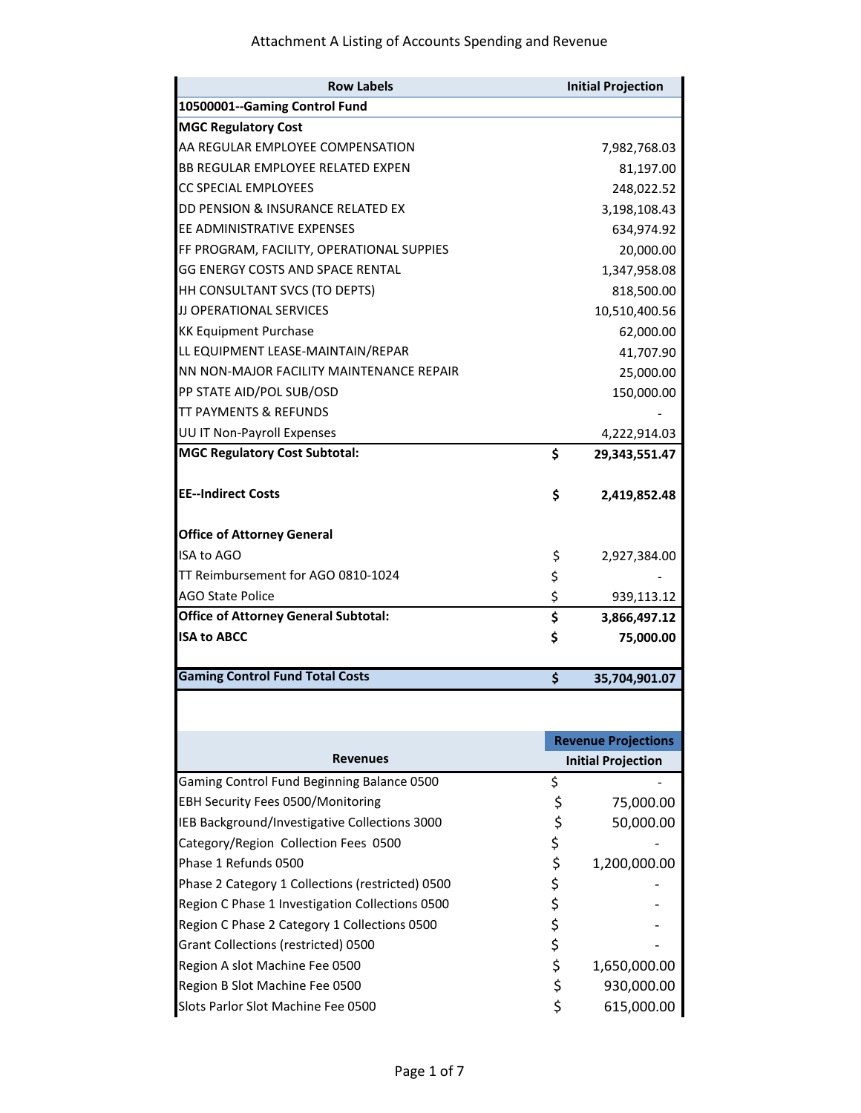| <b>Row Labels</b>                                |          | <b>Initial Projection</b>  |
|--------------------------------------------------|----------|----------------------------|
| 10500001--Gaming Control Fund                    |          |                            |
| <b>MGC Regulatory Cost</b>                       |          |                            |
| AA REGULAR EMPLOYEE COMPENSATION                 |          | 7,982,768.03               |
| BB REGULAR EMPLOYEE RELATED EXPEN                |          | 81,197.00                  |
| <b>CC SPECIAL EMPLOYEES</b>                      |          | 248,022.52                 |
| DD PENSION & INSURANCE RELATED EX                |          | 3,198,108.43               |
| EE ADMINISTRATIVE EXPENSES                       |          | 634,974.92                 |
| FF PROGRAM, FACILITY, OPERATIONAL SUPPIES        |          | 20,000.00                  |
| <b>GG ENERGY COSTS AND SPACE RENTAL</b>          |          | 1,347,958.08               |
| HH CONSULTANT SVCS (TO DEPTS)                    |          | 818,500.00                 |
| JJ OPERATIONAL SERVICES                          |          | 10,510,400.56              |
| <b>KK Equipment Purchase</b>                     |          | 62,000.00                  |
| LL EQUIPMENT LEASE-MAINTAIN/REPAR                |          | 41,707.90                  |
| NN NON-MAJOR FACILITY MAINTENANCE REPAIR         |          | 25,000.00                  |
| PP STATE AID/POL SUB/OSD                         |          | 150,000.00                 |
| <b>TT PAYMENTS &amp; REFUNDS</b>                 |          |                            |
| UU IT Non-Payroll Expenses                       |          | 4,222,914.03               |
| <b>MGC Regulatory Cost Subtotal:</b>             | \$       | 29,343,551.47              |
|                                                  |          |                            |
| <b>EE--Indirect Costs</b>                        | \$       | 2,419,852.48               |
|                                                  |          |                            |
| <b>Office of Attorney General</b>                |          |                            |
| <b>ISA to AGO</b>                                | \$       | 2,927,384.00               |
| TT Reimbursement for AGO 0810-1024               | \$       |                            |
| <b>AGO State Police</b>                          | \$       | 939,113.12                 |
| <b>Office of Attorney General Subtotal:</b>      | \$       | 3,866,497.12               |
| <b>ISA to ABCC</b>                               | \$       | 75,000.00                  |
| <b>Gaming Control Fund Total Costs</b>           | \$       | 35,704,901.07              |
|                                                  |          |                            |
|                                                  |          | <b>Revenue Projections</b> |
| <b>Revenues</b>                                  |          | <b>Initial Projection</b>  |
| Gaming Control Fund Beginning Balance 0500       | \$       |                            |
| <b>EBH Security Fees 0500/Monitoring</b>         | \$       | 75,000.00                  |
| IEB Background/Investigative Collections 3000    | \$       | 50,000.00                  |
| Category/Region Collection Fees 0500             | \$       |                            |
| Phase 1 Refunds 0500                             |          |                            |
|                                                  | \$       | 1,200,000.00               |
| Phase 2 Category 1 Collections (restricted) 0500 | \$<br>\$ |                            |
| Region C Phase 1 Investigation Collections 0500  |          |                            |
| Region C Phase 2 Category 1 Collections 0500     | \$       |                            |
| Grant Collections (restricted) 0500              | \$       |                            |
| Region A slot Machine Fee 0500                   | \$       | 1,650,000.00               |
| Region B Slot Machine Fee 0500                   | \$       | 930,000.00                 |
| Slots Parlor Slot Machine Fee 0500               | \$       | 615,000.00                 |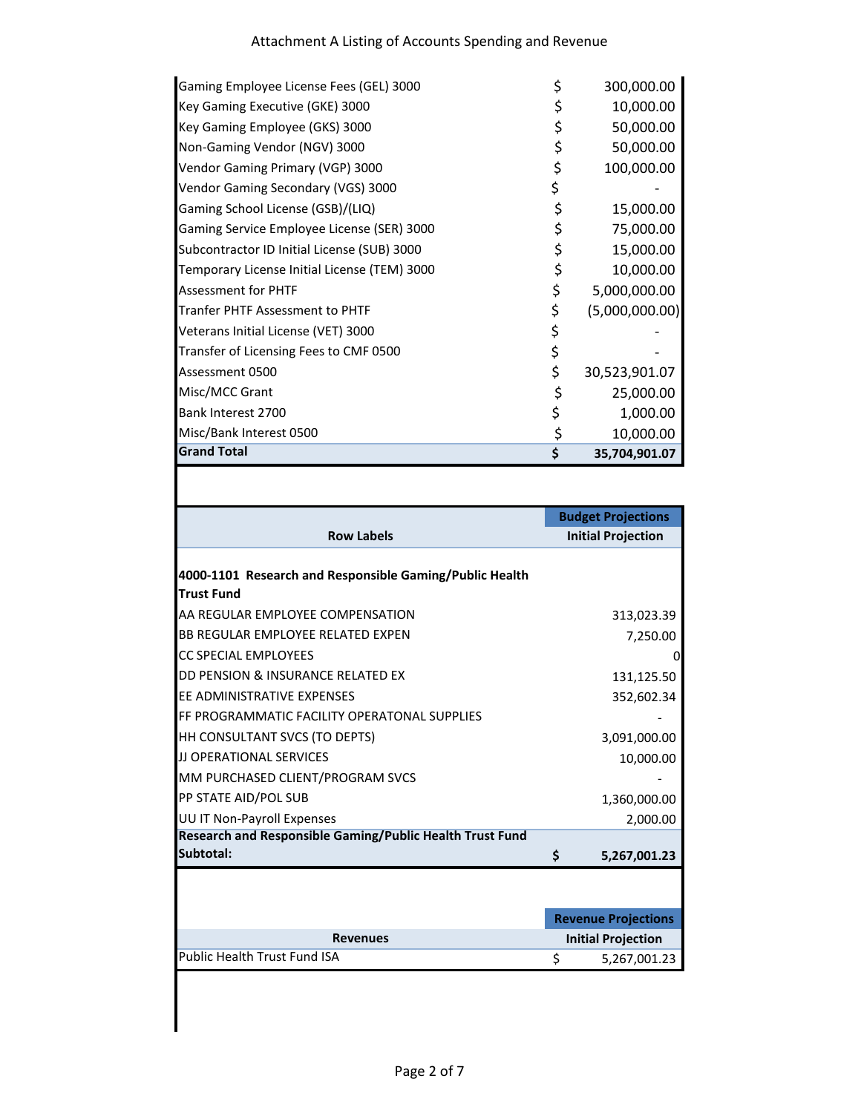| <b>Grand Total</b>                           | \$<br>35,704,901.07  |
|----------------------------------------------|----------------------|
| Misc/Bank Interest 0500                      | \$<br>10,000.00      |
| Bank Interest 2700                           | \$<br>1,000.00       |
| Misc/MCC Grant                               | \$<br>25,000.00      |
| Assessment 0500                              | \$<br>30,523,901.07  |
| Transfer of Licensing Fees to CMF 0500       | \$                   |
| Veterans Initial License (VET) 3000          | \$                   |
| <b>Tranfer PHTF Assessment to PHTF</b>       | \$<br>(5,000,000.00) |
| <b>Assessment for PHTF</b>                   | \$<br>5,000,000.00   |
| Temporary License Initial License (TEM) 3000 | \$<br>10,000.00      |
| Subcontractor ID Initial License (SUB) 3000  | \$<br>15,000.00      |
| Gaming Service Employee License (SER) 3000   | \$<br>75,000.00      |
| Gaming School License (GSB)/(LIQ)            | \$<br>15,000.00      |
| Vendor Gaming Secondary (VGS) 3000           | \$                   |
| Vendor Gaming Primary (VGP) 3000             | \$<br>100,000.00     |
| Non-Gaming Vendor (NGV) 3000                 | \$<br>50,000.00      |
| Key Gaming Employee (GKS) 3000               | \$<br>50,000.00      |
| Key Gaming Executive (GKE) 3000              | \$<br>10,000.00      |
| Gaming Employee License Fees (GEL) 3000      | \$<br>300,000.00     |

|                                                          | <b>Budget Projections</b>  |
|----------------------------------------------------------|----------------------------|
| <b>Row Labels</b>                                        | <b>Initial Projection</b>  |
|                                                          |                            |
| 4000-1101 Research and Responsible Gaming/Public Health  |                            |
| <b>Trust Fund</b>                                        |                            |
| AA REGULAR EMPLOYEE COMPENSATION                         | 313,023.39                 |
| <b>BB REGULAR EMPLOYEE RELATED EXPEN</b>                 | 7,250.00                   |
| <b>CC SPECIAL EMPLOYEES</b>                              | 0                          |
| DD PENSION & INSURANCE RELATED EX                        | 131,125.50                 |
| FF ADMINISTRATIVE EXPENSES                               | 352,602.34                 |
| FF PROGRAMMATIC FACILITY OPERATONAL SUPPLIES             |                            |
| HH CONSULTANT SVCS (TO DEPTS)                            | 3,091,000.00               |
| <b>JJ OPERATIONAL SERVICES</b>                           | 10,000.00                  |
| MM PURCHASED CLIENT/PROGRAM SVCS                         |                            |
| PP STATE AID/POL SUB                                     | 1,360,000.00               |
| UU IT Non-Payroll Expenses                               | 2,000.00                   |
| Research and Responsible Gaming/Public Health Trust Fund |                            |
| Subtotal:                                                | \$<br>5,267,001.23         |
|                                                          |                            |
|                                                          |                            |
|                                                          | <b>Revenue Projections</b> |
| <b>Revenues</b>                                          | <b>Initial Projection</b>  |
| <b>Public Health Trust Fund ISA</b>                      | \$<br>5,267,001.23         |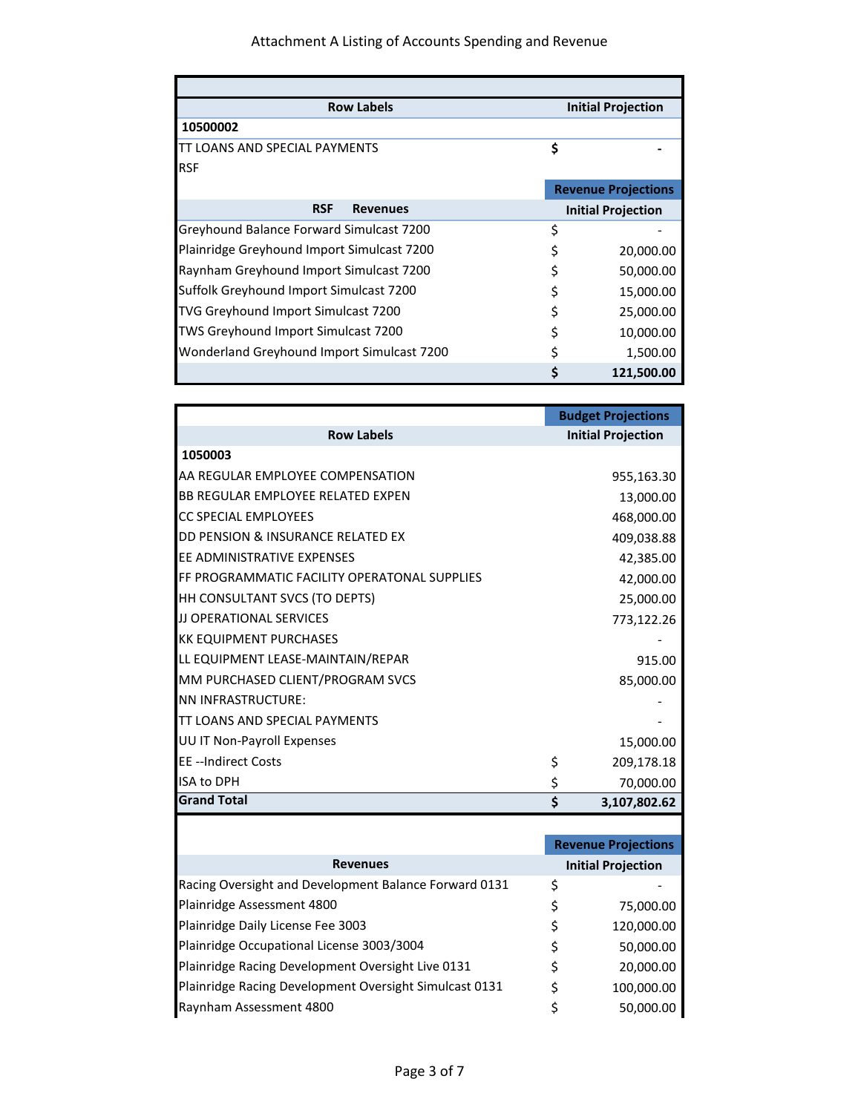Ŧ

| <b>Row Labels</b>                              |    | <b>Initial Projection</b>  |  |
|------------------------------------------------|----|----------------------------|--|
| 10500002                                       |    |                            |  |
| <b>LOANS AND SPECIAL PAYMENTS</b>              | \$ |                            |  |
| <b>RSF</b>                                     |    |                            |  |
|                                                |    | <b>Revenue Projections</b> |  |
| <b>RSF</b><br><b>Revenues</b>                  |    | <b>Initial Projection</b>  |  |
| Greyhound Balance Forward Simulcast 7200       | Ś  |                            |  |
| Plainridge Greyhound Import Simulcast 7200     |    | 20,000.00                  |  |
| <b>Raynham Greyhound Import Simulcast 7200</b> |    | 50,000.00                  |  |
| Suffolk Greyhound Import Simulcast 7200        |    | 15,000.00                  |  |
| TVG Greyhound Import Simulcast 7200            |    | 25,000.00                  |  |
| TWS Greyhound Import Simulcast 7200            |    | 10,000.00                  |  |
| Wonderland Greyhound Import Simulcast 7200     |    | 1,500.00                   |  |
|                                                |    | 121,500.00                 |  |

| <b>Budget Projections</b>  |
|----------------------------|
| <b>Initial Projection</b>  |
|                            |
| 955,163.30                 |
| 13,000.00                  |
| 468,000.00                 |
| 409,038.88                 |
| 42,385.00                  |
| 42,000.00                  |
| 25,000.00                  |
| 773,122.26                 |
|                            |
| 915.00                     |
| 85,000.00                  |
|                            |
|                            |
| 15,000.00                  |
| \$<br>209,178.18           |
| \$<br>70,000.00            |
| \$<br>3,107,802.62         |
|                            |
| <b>Revenue Projections</b> |
|                            |

|                                                        | <b>REVEILLE PROJECTIONS</b> |
|--------------------------------------------------------|-----------------------------|
| <b>Revenues</b>                                        | <b>Initial Projection</b>   |
| Racing Oversight and Development Balance Forward 0131  | \$                          |
| Plainridge Assessment 4800                             | \$<br>75,000.00             |
| Plainridge Daily License Fee 3003                      | \$<br>120,000.00            |
| Plainridge Occupational License 3003/3004              | \$<br>50,000.00             |
| Plainridge Racing Development Oversight Live 0131      | \$<br>20,000.00             |
| Plainridge Racing Development Oversight Simulcast 0131 | \$<br>100,000.00            |
| Raynham Assessment 4800                                | \$<br>50,000.00             |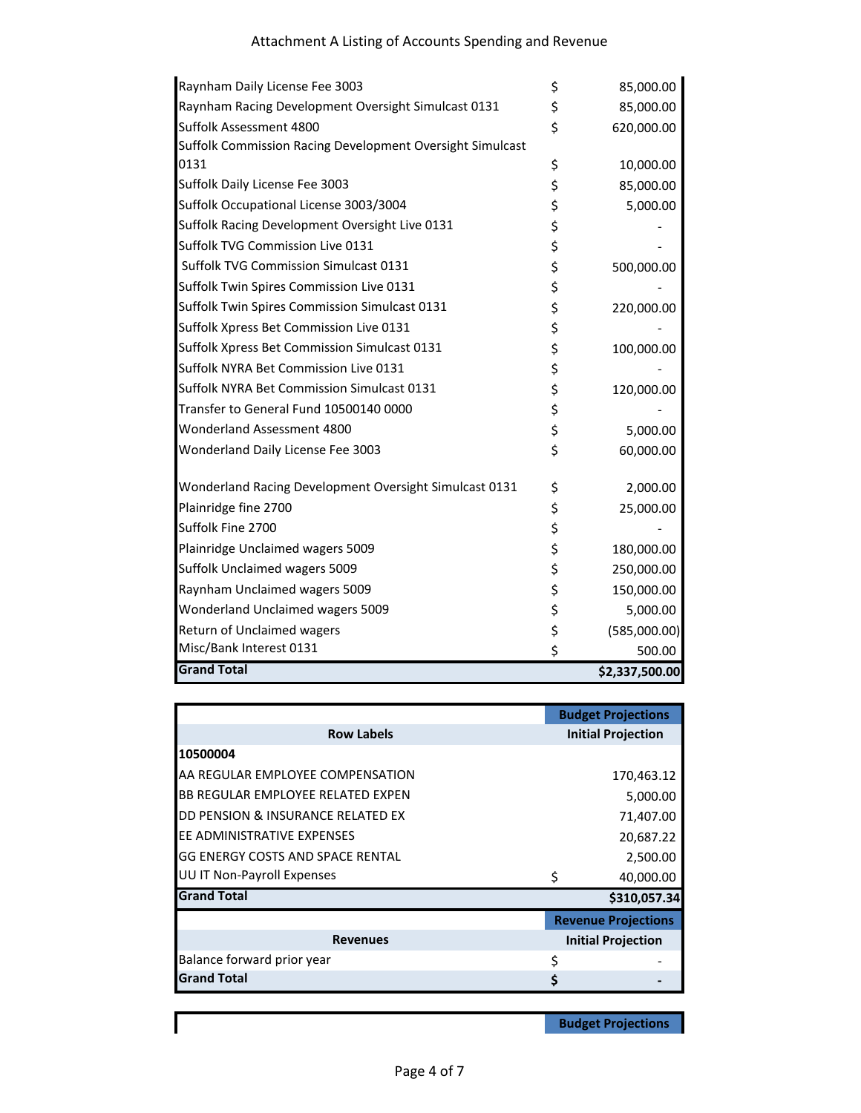| Raynham Daily License Fee 3003                            | \$<br>85,000.00    |
|-----------------------------------------------------------|--------------------|
| Raynham Racing Development Oversight Simulcast 0131       | \$<br>85,000.00    |
| Suffolk Assessment 4800                                   | \$<br>620,000.00   |
| Suffolk Commission Racing Development Oversight Simulcast |                    |
| 0131                                                      | \$<br>10,000.00    |
| Suffolk Daily License Fee 3003                            | \$<br>85,000.00    |
| Suffolk Occupational License 3003/3004                    | \$<br>5,000.00     |
| Suffolk Racing Development Oversight Live 0131            | \$                 |
| Suffolk TVG Commission Live 0131                          | \$                 |
| Suffolk TVG Commission Simulcast 0131                     | \$<br>500,000.00   |
| Suffolk Twin Spires Commission Live 0131                  | \$                 |
| Suffolk Twin Spires Commission Simulcast 0131             | \$<br>220,000.00   |
| Suffolk Xpress Bet Commission Live 0131                   | \$                 |
| Suffolk Xpress Bet Commission Simulcast 0131              | \$<br>100,000.00   |
| Suffolk NYRA Bet Commission Live 0131                     | \$                 |
| Suffolk NYRA Bet Commission Simulcast 0131                | \$<br>120,000.00   |
| Transfer to General Fund 10500140 0000                    | \$                 |
| Wonderland Assessment 4800                                | \$<br>5,000.00     |
| Wonderland Daily License Fee 3003                         | \$<br>60,000.00    |
| Wonderland Racing Development Oversight Simulcast 0131    | \$<br>2,000.00     |
| Plainridge fine 2700                                      | \$<br>25,000.00    |
| Suffolk Fine 2700                                         | \$                 |
| Plainridge Unclaimed wagers 5009                          | \$<br>180,000.00   |
| Suffolk Unclaimed wagers 5009                             | \$<br>250,000.00   |
| Raynham Unclaimed wagers 5009                             | \$<br>150,000.00   |
| Wonderland Unclaimed wagers 5009                          | \$<br>5,000.00     |
| Return of Unclaimed wagers                                | \$<br>(585,000.00) |
| Misc/Bank Interest 0131                                   | \$<br>500.00       |
| <b>Grand Total</b>                                        | \$2,337,500.00     |

|                                         |    | <b>Budget Projections</b>  |
|-----------------------------------------|----|----------------------------|
| <b>Row Labels</b>                       |    | <b>Initial Projection</b>  |
| 10500004                                |    |                            |
| AA REGULAR EMPLOYEE COMPENSATION        |    | 170,463.12                 |
| BB REGULAR EMPLOYEE RELATED EXPEN       |    | 5,000.00                   |
| DD PENSION & INSURANCE RELATED EX       |    | 71,407.00                  |
| <b>JEE ADMINISTRATIVE EXPENSES</b>      |    | 20,687.22                  |
| <b>GG ENERGY COSTS AND SPACE RENTAL</b> |    | 2,500.00                   |
| <b>UU IT Non-Payroll Expenses</b>       | Ś  | 40,000.00                  |
| <b>Grand Total</b>                      |    | \$310,057.34               |
|                                         |    | <b>Revenue Projections</b> |
| <b>Revenues</b>                         |    | <b>Initial Projection</b>  |
| Balance forward prior year              | Ś  |                            |
| <b>Grand Total</b>                      | \$ |                            |

**Budget Projections**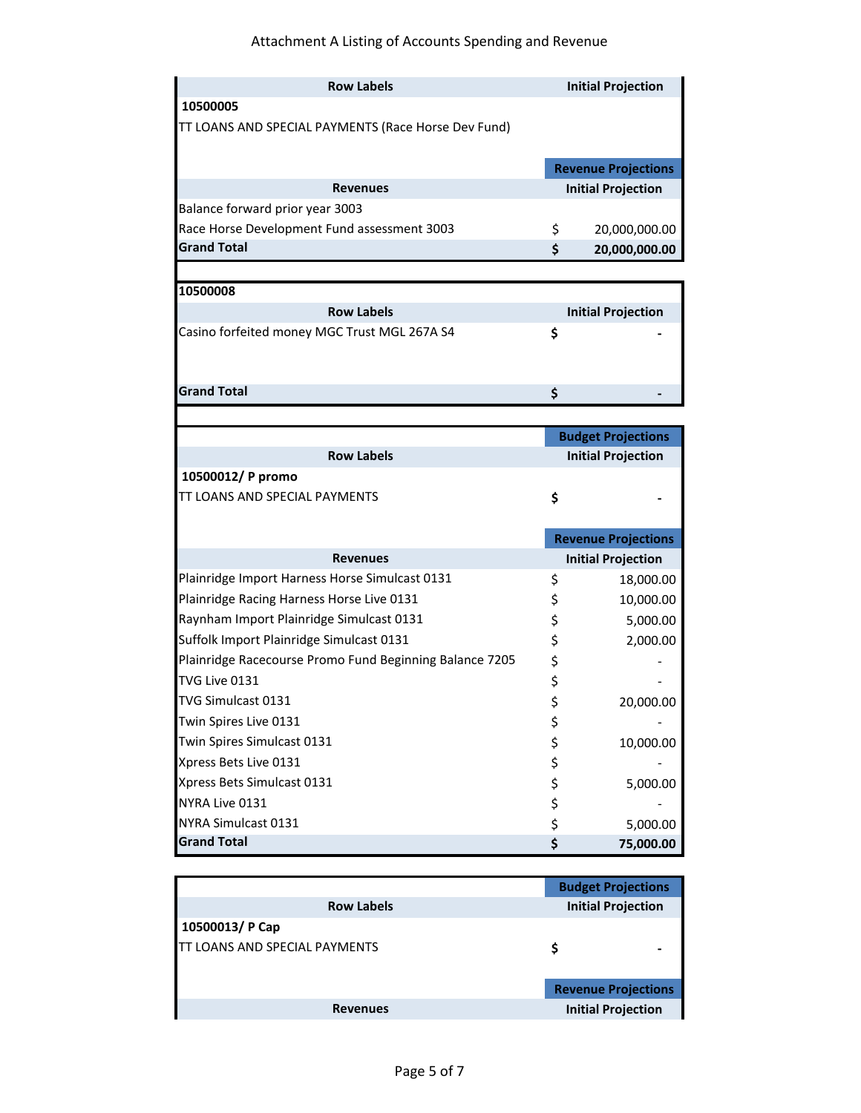## Attachment A Listing of Accounts Spending and Revenue

| <b>Row Labels</b>                                       | <b>Initial Projection</b>  |
|---------------------------------------------------------|----------------------------|
| 10500005                                                |                            |
| TT LOANS AND SPECIAL PAYMENTS (Race Horse Dev Fund)     |                            |
|                                                         |                            |
|                                                         | <b>Revenue Projections</b> |
| <b>Revenues</b>                                         | <b>Initial Projection</b>  |
| Balance forward prior year 3003                         |                            |
| Race Horse Development Fund assessment 3003             | \$<br>20,000,000.00        |
| <b>Grand Total</b>                                      | \$<br>20,000,000.00        |
|                                                         |                            |
| 10500008                                                |                            |
| <b>Row Labels</b>                                       | <b>Initial Projection</b>  |
| Casino forfeited money MGC Trust MGL 267A S4            | \$                         |
|                                                         |                            |
|                                                         |                            |
| <b>Grand Total</b>                                      | \$                         |
|                                                         |                            |
|                                                         | <b>Budget Projections</b>  |
| <b>Row Labels</b>                                       | <b>Initial Projection</b>  |
| 10500012/ P promo                                       |                            |
| TT LOANS AND SPECIAL PAYMENTS                           | \$                         |
|                                                         |                            |
|                                                         | <b>Revenue Projections</b> |
| <b>Revenues</b>                                         | <b>Initial Projection</b>  |
| Plainridge Import Harness Horse Simulcast 0131          | \$<br>18,000.00            |
| Plainridge Racing Harness Horse Live 0131               | \$<br>10,000.00            |
| Raynham Import Plainridge Simulcast 0131                | \$<br>5,000.00             |
| Suffolk Import Plainridge Simulcast 0131                | \$<br>2,000.00             |
| Plainridge Racecourse Promo Fund Beginning Balance 7205 | \$                         |
| TVG Live 0131                                           | \$                         |
| TVG Simulcast 0131                                      | \$<br>20,000.00            |
| Twin Spires Live 0131                                   | \$                         |
| Twin Spires Simulcast 0131                              | \$<br>10,000.00            |
| Xpress Bets Live 0131                                   | \$                         |
| Xpress Bets Simulcast 0131                              | \$<br>5,000.00             |
| NYRA Live 0131                                          | \$                         |
| NYRA Simulcast 0131                                     | \$<br>5,000.00             |
| <b>Grand Total</b>                                      | \$<br>75,000.00            |
|                                                         |                            |

| <b>Budget Projections</b>  |
|----------------------------|
| <b>Initial Projection</b>  |
|                            |
| \$                         |
|                            |
| <b>Revenue Projections</b> |
| <b>Initial Projection</b>  |
|                            |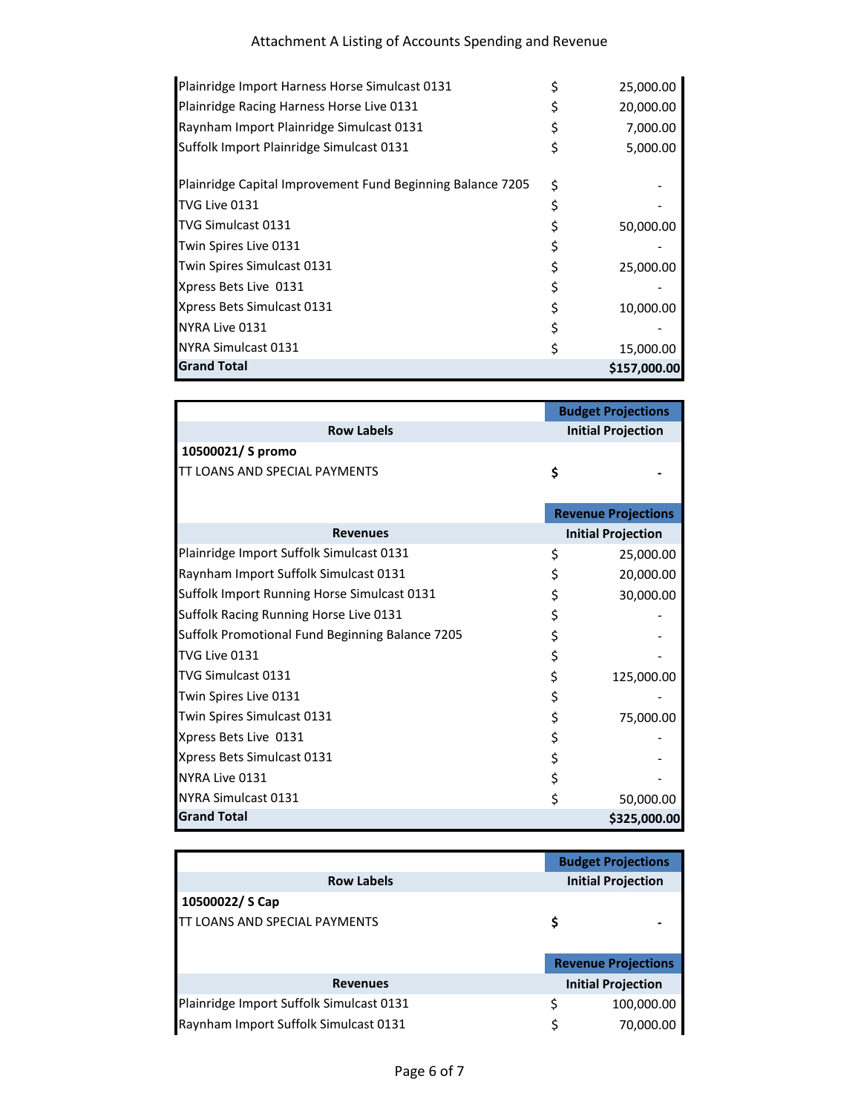| Plainridge Import Harness Horse Simulcast 0131             |   | 25,000.00    |
|------------------------------------------------------------|---|--------------|
| Plainridge Racing Harness Horse Live 0131                  |   | 20,000.00    |
| Raynham Import Plainridge Simulcast 0131                   |   | 7,000.00     |
| Suffolk Import Plainridge Simulcast 0131                   |   | 5,000.00     |
| Plainridge Capital Improvement Fund Beginning Balance 7205 | Ś |              |
| TVG Live 0131                                              |   |              |
| <b>TVG Simulcast 0131</b>                                  |   | 50,000.00    |
| Twin Spires Live 0131                                      |   |              |
| Twin Spires Simulcast 0131                                 |   | 25,000.00    |
| Xpress Bets Live 0131                                      |   |              |
| Xpress Bets Simulcast 0131                                 |   | 10,000.00    |
| NYRA Live 0131                                             |   |              |
| NYRA Simulcast 0131                                        |   | 15,000.00    |
| <b>Grand Total</b>                                         |   | \$157,000.00 |

|                                                 | <b>Budget Projections</b>  |  |
|-------------------------------------------------|----------------------------|--|
| <b>Row Labels</b>                               | <b>Initial Projection</b>  |  |
| 10500021/ S promo                               |                            |  |
| <b>TT LOANS AND SPECIAL PAYMENTS</b>            | \$                         |  |
|                                                 |                            |  |
|                                                 | <b>Revenue Projections</b> |  |
| <b>Revenues</b>                                 | <b>Initial Projection</b>  |  |
| Plainridge Import Suffolk Simulcast 0131        | \$<br>25,000.00            |  |
| Raynham Import Suffolk Simulcast 0131           | \$<br>20,000.00            |  |
| Suffolk Import Running Horse Simulcast 0131     | \$<br>30,000.00            |  |
| Suffolk Racing Running Horse Live 0131          | \$                         |  |
| Suffolk Promotional Fund Beginning Balance 7205 | \$                         |  |
| TVG Live 0131                                   | \$                         |  |
| TVG Simulcast 0131                              | \$<br>125,000.00           |  |
| Twin Spires Live 0131                           | \$                         |  |
| Twin Spires Simulcast 0131                      | \$<br>75,000.00            |  |
| Xpress Bets Live 0131                           | \$                         |  |
| Xpress Bets Simulcast 0131                      | \$                         |  |
| NYRA Live 0131                                  | \$                         |  |
| NYRA Simulcast 0131                             | \$<br>50,000.00            |  |
| <b>Grand Total</b>                              | \$325,000.00               |  |

|                                          | <b>Budget Projections</b>  |  |
|------------------------------------------|----------------------------|--|
| <b>Row Labels</b>                        | <b>Initial Projection</b>  |  |
| 10500022/S Cap                           |                            |  |
| TT LOANS AND SPECIAL PAYMENTS            |                            |  |
|                                          |                            |  |
|                                          | <b>Revenue Projections</b> |  |
| <b>Revenues</b>                          | <b>Initial Projection</b>  |  |
|                                          |                            |  |
| Plainridge Import Suffolk Simulcast 0131 | 100,000.00                 |  |